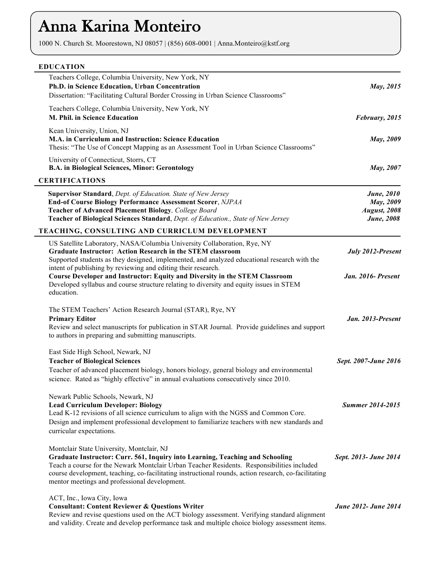# Anna Karina Monteiro

1000 N. Church St. Moorestown, NJ 08057 | (856) 608-0001 | Anna.Monteiro@kstf.org

| <b>EDUCATION</b> |  |
|------------------|--|

| May, 2015                                                                     | Teachers College, Columbia University, New York, NY<br>Ph.D. in Science Education, Urban Concentration<br>Dissertation: "Facilitating Cultural Border Crossing in Urban Science Classrooms"                                                                                                                                                                                       |  |
|-------------------------------------------------------------------------------|-----------------------------------------------------------------------------------------------------------------------------------------------------------------------------------------------------------------------------------------------------------------------------------------------------------------------------------------------------------------------------------|--|
| February, 2015                                                                | Teachers College, Columbia University, New York, NY<br>M. Phil. in Science Education                                                                                                                                                                                                                                                                                              |  |
| <b>May</b> , 2009                                                             | Kean University, Union, NJ<br>M.A. in Curriculum and Instruction: Science Education<br>Thesis: "The Use of Concept Mapping as an Assessment Tool in Urban Science Classrooms"                                                                                                                                                                                                     |  |
| May, 2007                                                                     | University of Connecticut, Storrs, CT<br><b>B.A. in Biological Sciences, Minor: Gerontology</b>                                                                                                                                                                                                                                                                                   |  |
|                                                                               | <b>CERTIFICATIONS</b>                                                                                                                                                                                                                                                                                                                                                             |  |
| <b>June</b> , 2010<br>May, 2009<br><b>August</b> , 2008<br><b>June</b> , 2008 | Supervisor Standard, Dept. of Education. State of New Jersey<br><b>End-of Course Biology Performance Assessment Scorer, NJPAA</b><br>Teacher of Advanced Placement Biology, College Board<br>Teacher of Biological Sciences Standard, Dept. of Education., State of New Jersey                                                                                                    |  |
|                                                                               | TEACHING, CONSULTING AND CURRICLUM DEVELOPMENT                                                                                                                                                                                                                                                                                                                                    |  |
| July 2012-Present                                                             | US Satellite Laboratory, NASA/Columbia University Collaboration, Rye, NY<br><b>Graduate Instructor: Action Research in the STEM classroom</b><br>Supported students as they designed, implemented, and analyzed educational research with the<br>intent of publishing by reviewing and editing their research.                                                                    |  |
| Jan. 2016- Present                                                            | Course Developer and Instructor: Equity and Diversity in the STEM Classroom<br>Developed syllabus and course structure relating to diversity and equity issues in STEM<br>education.                                                                                                                                                                                              |  |
| Jan. 2013-Present                                                             | The STEM Teachers' Action Research Journal (STAR), Rye, NY<br><b>Primary Editor</b><br>Review and select manuscripts for publication in STAR Journal. Provide guidelines and support<br>to authors in preparing and submitting manuscripts.                                                                                                                                       |  |
| Sept. 2007-June 2016                                                          | East Side High School, Newark, NJ<br><b>Teacher of Biological Sciences</b><br>Teacher of advanced placement biology, honors biology, general biology and environmental<br>science. Rated as "highly effective" in annual evaluations consecutively since 2010.                                                                                                                    |  |
| <b>Summer 2014-2015</b>                                                       | Newark Public Schools, Newark, NJ<br><b>Lead Curriculum Developer: Biology</b><br>Lead K-12 revisions of all science curriculum to align with the NGSS and Common Core.<br>Design and implement professional development to familiarize teachers with new standards and<br>curricular expectations.                                                                               |  |
| Sept. 2013- June 2014                                                         | Montclair State University, Montclair, NJ<br>Graduate Instructor: Curr. 561, Inquiry into Learning, Teaching and Schooling<br>Teach a course for the Newark Montclair Urban Teacher Residents. Responsibilities included<br>course development, teaching, co-facilitating instructional rounds, action research, co-facilitating<br>mentor meetings and professional development. |  |
| June 2012- June 2014                                                          | ACT, Inc., Iowa City, Iowa<br><b>Consultant: Content Reviewer &amp; Questions Writer</b><br>Review and revise questions used on the ACT biology assessment. Verifying standard alignment<br>and validity. Create and develop performance task and multiple choice biology assessment items.                                                                                       |  |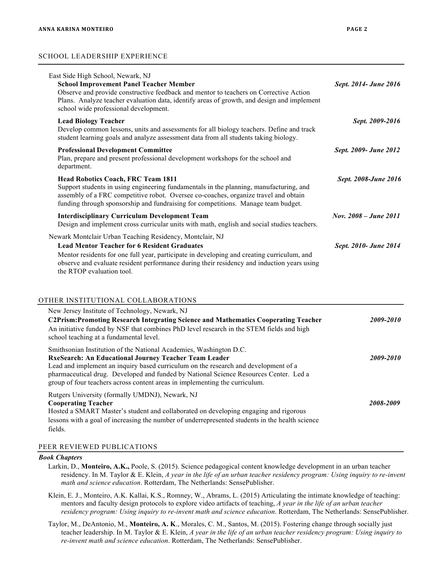### SCHOOL LEADERSHIP EXPERIENCE

| East Side High School, Newark, NJ<br><b>School Improvement Panel Teacher Member</b><br>Observe and provide constructive feedback and mentor to teachers on Corrective Action<br>Plans. Analyze teacher evaluation data, identify areas of growth, and design and implement<br>school wide professional development. | Sept. 2014- June 2016 |  |
|---------------------------------------------------------------------------------------------------------------------------------------------------------------------------------------------------------------------------------------------------------------------------------------------------------------------|-----------------------|--|
| <b>Lead Biology Teacher</b><br>Develop common lessons, units and assessments for all biology teachers. Define and track<br>student learning goals and analyze assessment data from all students taking biology.                                                                                                     | Sept. 2009-2016       |  |
| <b>Professional Development Committee</b><br>Plan, prepare and present professional development workshops for the school and<br>department.                                                                                                                                                                         | Sept. 2009- June 2012 |  |
| <b>Head Robotics Coach, FRC Team 1811</b><br>Support students in using engineering fundamentals in the planning, manufacturing, and<br>assembly of a FRC competitive robot. Oversee co-coaches, organize travel and obtain<br>funding through sponsorship and fundraising for competitions. Manage team budget.     | Sept. 2008-June 2016  |  |
| <b>Interdisciplinary Curriculum Development Team</b><br>Design and implement cross curricular units with math, english and social studies teachers.                                                                                                                                                                 | Nov. 2008 – June 2011 |  |
| Newark Montclair Urban Teaching Residency, Montclair, NJ                                                                                                                                                                                                                                                            |                       |  |
| <b>Lead Mentor Teacher for 6 Resident Graduates</b><br>Mentor residents for one full year, participate in developing and creating curriculum, and<br>observe and evaluate resident performance during their residency and induction years using<br>the RTOP evaluation tool.                                        | Sept. 2010- June 2014 |  |

### OTHER INSTITUTIONAL COLLABORATIONS

| New Jersey Institute of Technology, Newark, NJ<br><b>C2Prism: Promoting Research Integrating Science and Mathematics Cooperating Teacher</b><br>An initiative funded by NSF that combines PhD level research in the STEM fields and high<br>school teaching at a fundamental level.                                                                                                               | 2009-2010 |
|---------------------------------------------------------------------------------------------------------------------------------------------------------------------------------------------------------------------------------------------------------------------------------------------------------------------------------------------------------------------------------------------------|-----------|
| Smithsonian Institution of the National Academies, Washington D.C.<br><b>RxeSearch: An Educational Journey Teacher Team Leader</b><br>Lead and implement an inquiry based curriculum on the research and development of a<br>pharmaceutical drug. Developed and funded by National Science Resources Center. Led a<br>group of four teachers across content areas in implementing the curriculum. | 2009-2010 |
| Rutgers University (formally UMDNJ), Newark, NJ<br><b>Cooperating Teacher</b><br>Hosted a SMART Master's student and collaborated on developing engaging and rigorous<br>lessons with a goal of increasing the number of underrepresented students in the health science<br>fields.                                                                                                               | 2008-2009 |

## PEER REVIEWED PUBLICATIONS

### *Book Chapters*

- Larkin, D., **Monteiro, A.K.,** Poole, S. (2015). Science pedagogical content knowledge development in an urban teacher residency. In M. Taylor & E. Klein, *A year in the life of an urban teacher residency program: Using inquiry to re-invent math and science education*. Rotterdam, The Netherlands: SensePublisher.
- Klein, E. J., Monteiro, A.K. Kallai, K.S., Romney, W., Abrams, L. (2015) Articulating the intimate knowledge of teaching: mentors and faculty design protocols to explore video artifacts of teaching, *A year in the life of an urban teacher residency program: Using inquiry to re-invent math and science education*. Rotterdam, The Netherlands: SensePublisher.
- Taylor, M., DeAntonio, M., **Monteiro, A. K**., Morales, C. M., Santos, M. (2015). Fostering change through socially just teacher leadership. In M. Taylor & E. Klein, *A year in the life of an urban teacher residency program: Using inquiry to re-invent math and science education*. Rotterdam, The Netherlands: SensePublisher.